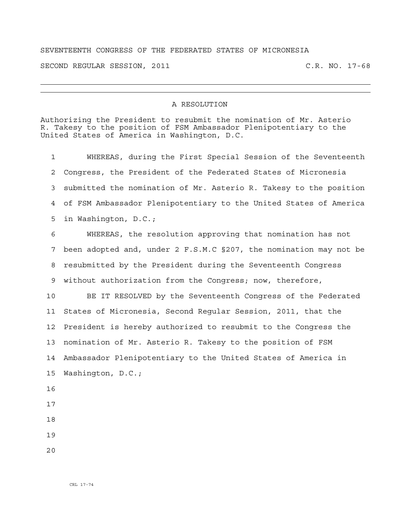## SEVENTEENTH CONGRESS OF THE FEDERATED STATES OF MICRONESIA

SECOND REGULAR SESSION, 2011 C.R. NO. 17-68

## A RESOLUTION

Authorizing the President to resubmit the nomination of Mr. Asterio R. Takesy to the position of FSM Ambassador Plenipotentiary to the United States of America in Washington, D.C.

1 WHEREAS, during the First Special Session of the Seventeenth 2 Congress, the President of the Federated States of Micronesia 3 submitted the nomination of Mr. Asterio R. Takesy to the position 4 of FSM Ambassador Plenipotentiary to the United States of America 5 in Washington, D.C.;

6 WHEREAS, the resolution approving that nomination has not 7 been adopted and, under 2 F.S.M.C §207, the nomination may not be 8 resubmitted by the President during the Seventeenth Congress 9 without authorization from the Congress; now, therefore,

10 BE IT RESOLVED by the Seventeenth Congress of the Federated 11 States of Micronesia, Second Regular Session, 2011, that the 12 President is hereby authorized to resubmit to the Congress the 13 nomination of Mr. Asterio R. Takesy to the position of FSM 14 Ambassador Plenipotentiary to the United States of America in 15 Washington, D.C.;

- 16
- 17
- 18
- 19
- 20